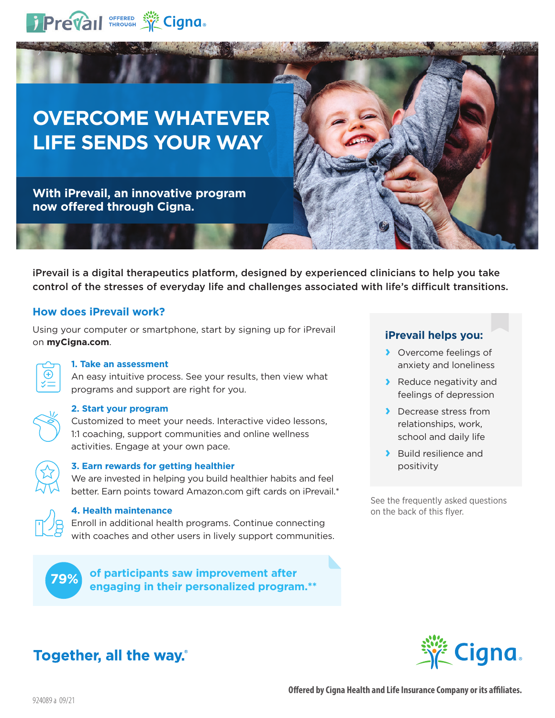

# **OVERCOME WHATEVER LIFE SENDS YOUR WAY**

**With iPrevail, an innovative program now offered through Cigna.**

iPrevail is a digital therapeutics platform, designed by experienced clinicians to help you take control of the stresses of everyday life and challenges associated with life's difficult transitions.

## **How does iPrevail work?**

Using your computer or smartphone, start by signing up for iPrevail on **myCigna.com**.



### **1. Take an assessment**

An easy intuitive process. See your results, then view what programs and support are right for you.



#### **2. Start your program**

Customized to meet your needs. Interactive video lessons, 1:1 coaching, support communities and online wellness activities. Engage at your own pace.



#### **3. Earn rewards for getting healthier**

We are invested in helping you build healthier habits and feel better. Earn points toward Amazon.com gift cards on iPrevail.\*



### **4. Health maintenance**

Enroll in additional health programs. Continue connecting with coaches and other users in lively support communities.

**of participants saw improvement after engaging in their personalized program.\*\* 79%**

## **iPrevail helps you:**

- **›** Overcome feelings of anxiety and loneliness
- **›** Reduce negativity and feelings of depression
- **›** Decrease stress from relationships, work, school and daily life
- **›** Build resilience and positivity

See the frequently asked questions on the back of this flyer.